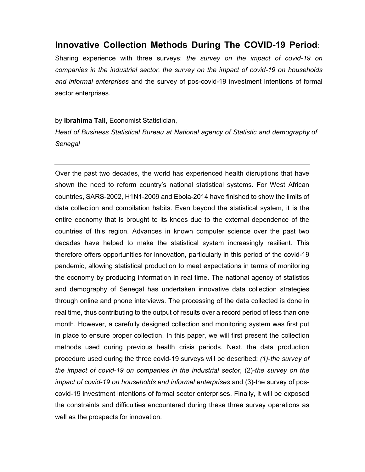# Innovative **C**ollection **M**ethods **D**uring **T**he **COVID**-19 **P**eriod:

Sharing experience with three surveys: *the survey on the impact of covid-19 on companies in the industrial sector*, *the survey on the impact of covid-19 on households and informal enterprises* and the survey of pos-covid-19 investment intentions of formal sector enterprises.

by Ibrahima Tall, Economist Statistician,

*Head of Business Statistical Bureau at National agency of Statistic and demography of Senegal* 

Over the past two decades, the world has experienced health disruptions that have shown the need to reform country's national statistical systems. For West African countries, SARS-2002, H1N1-2009 and Ebola-2014 have finished to show the limits of data collection and compilation habits. Even beyond the statistical system, it is the entire economy that is brought to its knees due to the external dependence of the countries of this region. Advances in known computer science over the past two decades have helped to make the statistical system increasingly resilient. This therefore offers opportunities for innovation, particularly in this period of the covid-19 pandemic, allowing statistical production to meet expectations in terms of monitoring the economy by producing information in real time. The national agency of statistics and demography of Senegal has undertaken innovative data collection strategies through online and phone interviews. The processing of the data collected is done in real time, thus contributing to the output of results over a record period of less than one month. However, a carefully designed collection and monitoring system was first put in place to ensure proper collection. In this paper, we will first present the collection methods used during previous health crisis periods. Next, the data production procedure used during the three covid-19 surveys will be described: *(1)-the survey of the impact of covid-19 on companies in the industrial sector*, (2)-*the survey on the impact of covid-19 on households and informal enterprises and (3)-the survey of pos*covid-19 investment intentions of formal sector enterprises. Finally, it will be exposed the constraints and difficulties encountered during these three survey operations as well as the prospects for innovation.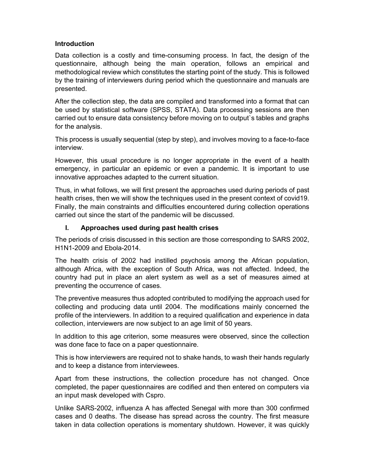### Introduction

Data collection is a costly and time-consuming process. In fact, the design of the questionnaire, although being the main operation, follows an empirical and methodological review which constitutes the starting point of the study. This is followed by the training of interviewers during period which the questionnaire and manuals are presented.

After the collection step, the data are compiled and transformed into a format that can be used by statistical software (SPSS, STATA). Data processing sessions are then carried out to ensure data consistency before moving on to output`s tables and graphs for the analysis.

This process is usually sequential (step by step), and involves moving to a face-to-face interview.

However, this usual procedure is no longer appropriate in the event of a health emergency, in particular an epidemic or even a pandemic. It is important to use innovative approaches adapted to the current situation.

Thus, in what follows, we will first present the approaches used during periods of past health crises, then we will show the techniques used in the present context of covid19. Finally, the main constraints and difficulties encountered during collection operations carried out since the start of the pandemic will be discussed.

## I. Approaches used during past health crises

The periods of crisis discussed in this section are those corresponding to SARS 2002, H1N1-2009 and Ebola-2014.

The health crisis of 2002 had instilled psychosis among the African population, although Africa, with the exception of South Africa, was not affected. Indeed, the country had put in place an alert system as well as a set of measures aimed at preventing the occurrence of cases.

The preventive measures thus adopted contributed to modifying the approach used for collecting and producing data until 2004. The modifications mainly concerned the profile of the interviewers. In addition to a required qualification and experience in data collection, interviewers are now subject to an age limit of 50 years.

In addition to this age criterion, some measures were observed, since the collection was done face to face on a paper questionnaire.

This is how interviewers are required not to shake hands, to wash their hands regularly and to keep a distance from interviewees.

Apart from these instructions, the collection procedure has not changed. Once completed, the paper questionnaires are codified and then entered on computers via an input mask developed with Cspro.

Unlike SARS-2002, influenza A has affected Senegal with more than 300 confirmed cases and 0 deaths. The disease has spread across the country. The first measure taken in data collection operations is momentary shutdown. However, it was quickly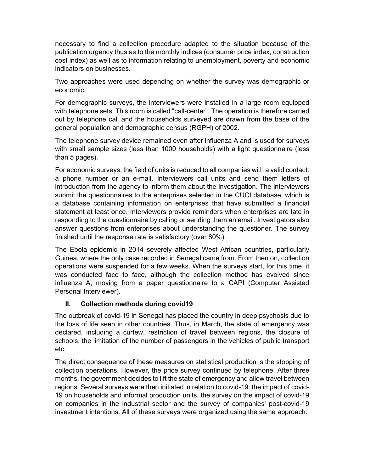necessary to find a collection procedure adapted to the situation because of the publication urgency thus as to the monthly indices (consumer price index, construction cost index) as well as to information relating to unemployment, poverty and economic indicators on businesses.

Two approaches were used depending on whether the survey was demographic or economic.

For demographic surveys, the interviewers were installed in a large room equipped with telephone sets. This room is called "call-center". The operation is therefore carried out by telephone call and the households surveyed are drawn from the base of the general population and demographic census (RGPH) of 2002.

The telephone survey device remained even after influenza A and is used for surveys with small sample sizes (less than 1000 households) with a light questionnaire (less than 5 pages).

For economic surveys, the field of units is reduced to all companies with a valid contact: a phone number or an e-mail. Interviewers call units and send them letters of introduction from the agency to inform them about the investigation. The interviewers submit the questionnaires to the enterprises selected in the CUCI database, which is a database containing information on enterprises that have submitted a financial statement at least once. Interviewers provide reminders when enterprises are late in responding to the questionnaire by calling or sending them an email. Investigators also answer questions from enterprises about understanding the questioner. The survey finished until the response rate is satisfactory (over 80%).

The Ebola epidemic in 2014 severely affected West African countries, particularly Guinea, where the only case recorded in Senegal came from. From then on, collection operations were suspended for a few weeks. When the surveys start, for this time, it was conducted face to face, although the collection method has evolved since influenza A, moving from a paper questionnaire to a CAPI (Computer Assisted Personal Interviewer).

## II. Collection methods during covid19

The outbreak of covid-19 in Senegal has placed the country in deep psychosis due to the loss of life seen in other countries. Thus, in March, the state of emergency was declared, including a curfew, restriction of travel between regions, the closure of schools, the limitation of the number of passengers in the vehicles of public transport etc.

The direct consequence of these measures on statistical production is the stopping of collection operations. However, the price survey continued by telephone. After three months, the government decides to lift the state of emergency and allow travel between regions. Several surveys were then initiated in relation to covid-19: the impact of covid-19 on households and informal production units, the survey on the impact of covid-19 on companies in the industrial sector and the survey of companies' post-covid-19 investment intentions. All of these surveys were organized using the same approach.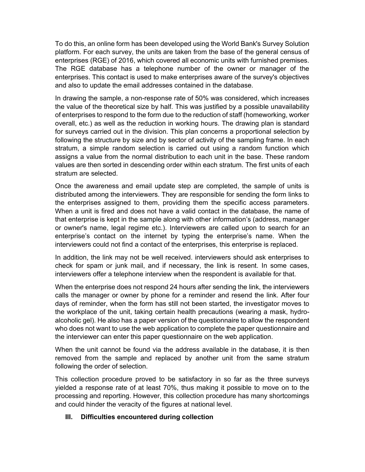To do this, an online form has been developed using the World Bank's Survey Solution platform. For each survey, the units are taken from the base of the general census of enterprises (RGE) of 2016, which covered all economic units with furnished premises. The RGE database has a telephone number of the owner or manager of the enterprises. This contact is used to make enterprises aware of the survey's objectives and also to update the email addresses contained in the database.

In drawing the sample, a non-response rate of 50% was considered, which increases the value of the theoretical size by half. This was justified by a possible unavailability of enterprises to respond to the form due to the reduction of staff (homeworking, worker overall, etc.) as well as the reduction in working hours. The drawing plan is standard for surveys carried out in the division. This plan concerns a proportional selection by following the structure by size and by sector of activity of the sampling frame. In each stratum, a simple random selection is carried out using a random function which assigns a value from the normal distribution to each unit in the base. These random values are then sorted in descending order within each stratum. The first units of each stratum are selected.

Once the awareness and email update step are completed, the sample of units is distributed among the interviewers. They are responsible for sending the form links to the enterprises assigned to them, providing them the specific access parameters. When a unit is fired and does not have a valid contact in the database, the name of that enterprise is kept in the sample along with other information's (address, manager or owner's name, legal regime etc.). Interviewers are called upon to search for an enterprise's contact on the internet by typing the enterprise's name. When the interviewers could not find a contact of the enterprises, this enterprise is replaced.

In addition, the link may not be well received. interviewers should ask enterprises to check for spam or junk mail, and if necessary, the link is resent. In some cases, interviewers offer a telephone interview when the respondent is available for that.

When the enterprise does not respond 24 hours after sending the link, the interviewers calls the manager or owner by phone for a reminder and resend the link. After four days of reminder, when the form has still not been started, the investigator moves to the workplace of the unit, taking certain health precautions (wearing a mask, hydroalcoholic gel). He also has a paper version of the questionnaire to allow the respondent who does not want to use the web application to complete the paper questionnaire and the interviewer can enter this paper questionnaire on the web application.

When the unit cannot be found via the address available in the database, it is then removed from the sample and replaced by another unit from the same stratum following the order of selection.

This collection procedure proved to be satisfactory in so far as the three surveys yielded a response rate of at least 70%, thus making it possible to move on to the processing and reporting. However, this collection procedure has many shortcomings and could hinder the veracity of the figures at national level.

## III. Difficulties encountered during collection